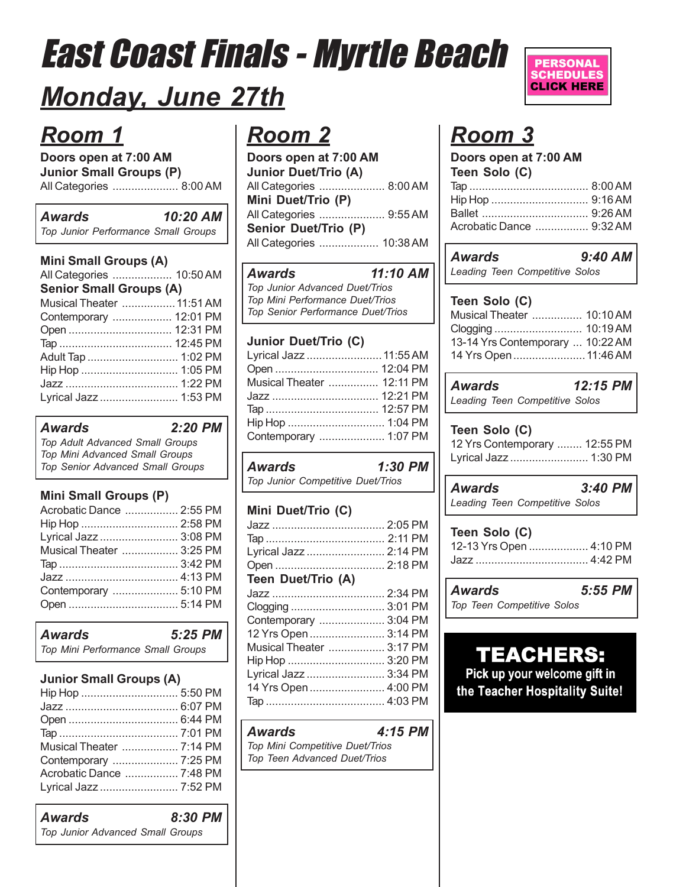## *Monday, June 27th*

## *Room 1*

**Doors open at 7:00 AM Junior Small Groups (P)** All Categories ..................... 8:00 AM

| <b>Awards</b>                       | 10:20 AM |
|-------------------------------------|----------|
| Top Junior Performance Small Groups |          |

| <b>Mini Small Groups (A)</b>   |  |  |  |
|--------------------------------|--|--|--|
| All Categories  10:50 AM       |  |  |  |
| <b>Senior Small Groups (A)</b> |  |  |  |
| Musical Theater  11:51 AM      |  |  |  |
| Contemporary  12:01 PM         |  |  |  |
|                                |  |  |  |
|                                |  |  |  |
| Adult Tap  1:02 PM             |  |  |  |
|                                |  |  |  |
|                                |  |  |  |
| Lyrical Jazz  1:53 PM          |  |  |  |

### *Awards 2:20 PM*

*Top Adult Advanced Small Groups Top Mini Advanced Small Groups Top Senior Advanced Small Groups*

## **Mini Small Groups (P)**

| Acrobatic Dance  2:55 PM |  |
|--------------------------|--|
| Hip Hop  2:58 PM         |  |
| Lyrical Jazz  3:08 PM    |  |
| Musical Theater  3:25 PM |  |
|                          |  |
|                          |  |
| Contemporary  5:10 PM    |  |
|                          |  |
|                          |  |

| Awards                            | 5:25 PM |
|-----------------------------------|---------|
| Top Mini Performance Small Groups |         |

## **Junior Small Groups (A)**

| Musical Theater  7:14 PM |  |
|--------------------------|--|
| Contemporary  7:25 PM    |  |
| Acrobatic Dance  7:48 PM |  |
| Lyrical Jazz  7:52 PM    |  |

*Awards 8:30 PM Top Junior Advanced Small Groups*

## *Room 2*

| Doors open at 7:00 AM       |  |
|-----------------------------|--|
| <b>Junior Duet/Trio (A)</b> |  |
| All Categories  8:00 AM     |  |
| Mini Duet/Trio (P)          |  |
| All Categories  9:55 AM     |  |
| Senior Duet/Trio (P)        |  |
| All Categories  10:38 AM    |  |

### *Awards 11:10 AM*

*Top Junior Advanced Duet/Trios Top Mini Performance Duet/Trios Top Senior Performance Duet/Trios*

### **Junior Duet/Trio (C)**

| Lyrical Jazz  11:55 AM    |  |
|---------------------------|--|
|                           |  |
| Musical Theater  12:11 PM |  |
| Jazz  12:21 PM            |  |
|                           |  |
| Hip Hop  1:04 PM          |  |
| Contemporary  1:07 PM     |  |

*Awards 1:30 PM Top Junior Competitive Duet/Trios*

| Mini Duet/Trio (C)       |  |
|--------------------------|--|
|                          |  |
|                          |  |
| Lyrical Jazz  2:14 PM    |  |
|                          |  |
| Teen Duet/Trio (A)       |  |
|                          |  |
| Clogging  3:01 PM        |  |
| Contemporary  3:04 PM    |  |
| 12 Yrs Open  3:14 PM     |  |
| Musical Theater  3:17 PM |  |
| Hip Hop  3:20 PM         |  |
| Lyrical Jazz  3:34 PM    |  |
| 14 Yrs Open  4:00 PM     |  |
|                          |  |

### *Awards 4:15 PM Top Mini Competitive Duet/Trios Top Teen Advanced Duet/Trios*



## *Room 3*

| Doors open at 7:00 AM    |  |  |  |
|--------------------------|--|--|--|
| Teen Solo (C)            |  |  |  |
|                          |  |  |  |
|                          |  |  |  |
|                          |  |  |  |
| Acrobatic Dance  9:32 AM |  |  |  |

| Awards |                                | $9:40$ AM |  |
|--------|--------------------------------|-----------|--|
|        | Leading Teen Competitive Solos |           |  |

## **Teen Solo (C)**

| Musical Theater  10:10 AM        |  |
|----------------------------------|--|
|                                  |  |
| 13-14 Yrs Contemporary  10:22 AM |  |
| 14 Yrs Open 11:46 AM             |  |
|                                  |  |

## *Awards 12:15 PM*

*Leading Teen Competitive Solos*

### **Teen Solo (C)**

| 12 Yrs Contemporary  12:55 PM |  |
|-------------------------------|--|
| Lyrical Jazz  1:30 PM         |  |

*Awards 3:40 PM Leading Teen Competitive Solos*

| Teen Solo (C)           |  |
|-------------------------|--|
| 12-13 Yrs Open  4:10 PM |  |
|                         |  |

| Awards | 5:55 PM |
|--------|---------|

*Top Teen Competitive Solos*

## **TEACHERS:**

Pick up your welcome gift in the Teacher Hospitality Suite!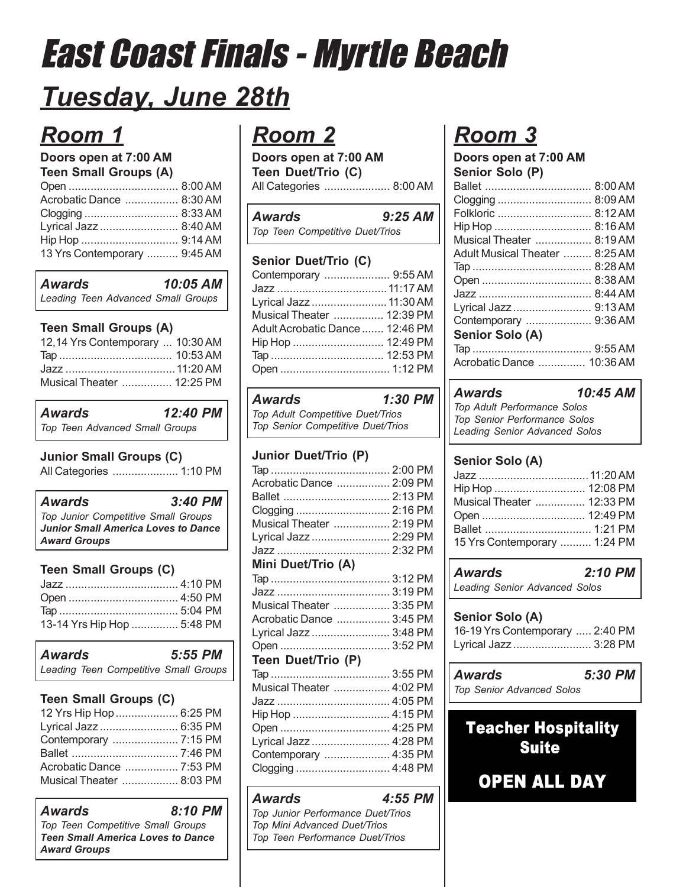## *Tuesday, June 28th*

## *Room 1*

## **Doors open at 7:00 AM**

| <b>Teen Small Groups (A)</b> |  |
|------------------------------|--|
|                              |  |
| Acrobatic Dance  8:30 AM     |  |
|                              |  |
| Lyrical Jazz  8:40 AM        |  |
|                              |  |
| 13 Yrs Contemporary  9:45 AM |  |
|                              |  |

*Awards 10:05 AM Leading Teen Advanced Small Groups*

## **Teen Small Groups (A)**

| 12,14 Yrs Contemporary  10:30 AM |  |
|----------------------------------|--|
|                                  |  |
|                                  |  |
| Musical Theater  12:25 PM        |  |

*Awards 12:40 PM Top Teen Advanced Small Groups*

## **Junior Small Groups (C)**

All Categories ..................... 1:10 PM

### *Awards 3:40 PM Top Junior Competitive Small Groups Junior Small America Loves to Dance Award Groups*

## **Teen Small Groups (C)**

| 13-14 Yrs Hip Hop  5:48 PM |  |
|----------------------------|--|

| Awards |  | 5:55 PM                               |  |
|--------|--|---------------------------------------|--|
|        |  | Leading Teen Competitive Small Groups |  |

## **Teen Small Groups (C)**

| 12 Yrs Hip Hop  6:25 PM        |  |
|--------------------------------|--|
| Lyrical Jazz  6:35 PM          |  |
| Contemporary  7:15 PM          |  |
|                                |  |
| Acrobatic Dance ……………. 7:53 PM |  |
| Musical Theater  8:03 PM       |  |

| Awards                                                          | 8:10 PM |
|-----------------------------------------------------------------|---------|
| Top Teen Competitive Small Groups                               |         |
| <b>Teen Small America Loves to Dance</b><br><b>Award Groups</b> |         |

## *Room 2*

**Doors open at 7:00 AM Teen Duet/Trio (C)** All Categories ..................... 8:00 AM

| <b>Awards</b>                   | $9:25$ AM |
|---------------------------------|-----------|
| Top Teen Competitive Duet/Trios |           |

## **Senior Duet/Trio (C)**

| Contemporary  9:55 AM           |  |
|---------------------------------|--|
|                                 |  |
| Lyrical Jazz  11:30 AM          |  |
| Musical Theater  12:39 PM       |  |
| Adult Acrobatic Dance  12:46 PM |  |
| Hip Hop  12:49 PM               |  |
|                                 |  |
|                                 |  |
|                                 |  |

| <b>Awards</b>                     | $1:30$ PM |  |
|-----------------------------------|-----------|--|
| Top Adult Competitive Duet/Trios  |           |  |
| Top Senior Competitive Duet/Trios |           |  |

## **Junior Duet/Trio (P)**

| Acrobatic Dance  2:09 PM |  |
|--------------------------|--|
|                          |  |
|                          |  |
| Musical Theater  2:19 PM |  |
| Lyrical Jazz  2:29 PM    |  |
|                          |  |
|                          |  |

### **Mini Duet/Trio (A)**

| Musical Theater  3:35 PM |  |
|--------------------------|--|
| Acrobatic Dance  3:45 PM |  |
| Lyrical Jazz  3:48 PM    |  |
| Open  3:52 PM            |  |
| Teen Duet/Trio (P)       |  |
|                          |  |
| Musical Theater  4:02 PM |  |
|                          |  |
| Hip Hop  4:15 PM         |  |
|                          |  |
| Lyrical Jazz  4:28 PM    |  |
| Contemporary  4:35 PM    |  |
| Clogging  4:48 PM        |  |
|                          |  |

*Awards 4:55 PM Top Junior Performance Duet/Trios Top Mini Advanced Duet/Trios Top Teen Performance Duet/Trios*

## *Room 3*

**Doors open at 7:00 AM Senior Solo (P)**

| Clogging  8:09 AM              |  |
|--------------------------------|--|
| Folkloric  8:12 AM             |  |
|                                |  |
| Musical Theater  8:19 AM       |  |
| Adult Musical Theater  8:25 AM |  |
|                                |  |
|                                |  |
|                                |  |
| Lyrical Jazz  9:13 AM          |  |
| Contemporary  9:36 AM          |  |
| Senior Solo (A)                |  |
|                                |  |
| Acrobatic Dance  10:36 AM      |  |

### *Awards 10:45 AM*

*Top Adult Performance Solos Top Senior Performance Solos Leading Senior Advanced Solos*

## **Senior Solo (A)**

| Hip Hop  12:08 PM            |  |
|------------------------------|--|
| Musical Theater  12:33 PM    |  |
|                              |  |
|                              |  |
| 15 Yrs Contemporary  1:24 PM |  |

| <b>Awards</b>                 | 2:10 PM |
|-------------------------------|---------|
| Leading Senior Advanced Solos |         |

### **Senior Solo (A)**

| 16-19 Yrs Contemporary  2:40 PM |  |
|---------------------------------|--|
| Lyrical Jazz  3:28 PM           |  |

*Awards 5:30 PM*

*Top Senior Advanced Solos*

## **Teacher Hospitality Suite**

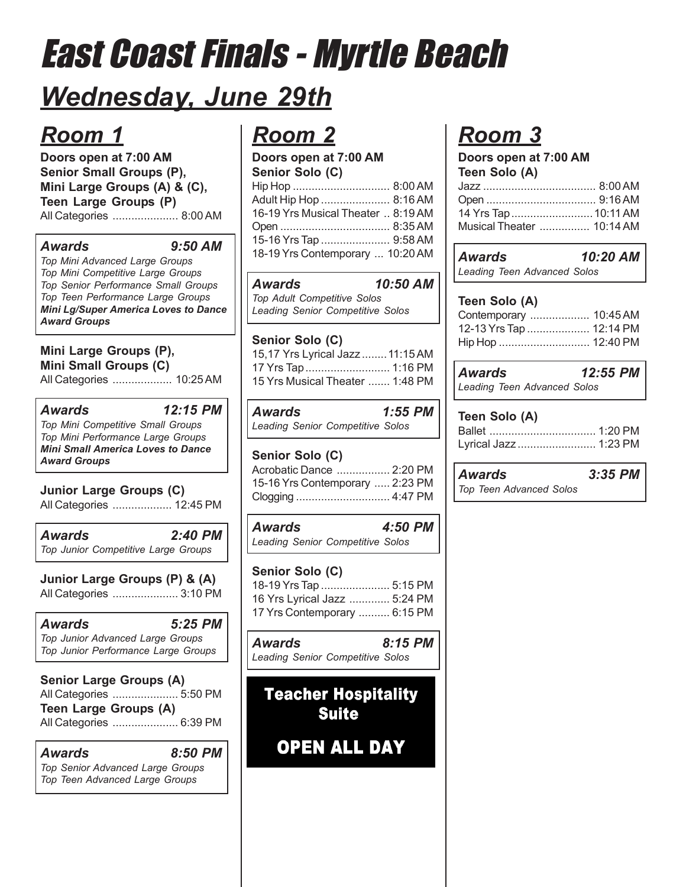## *Wednesday, June 29th*

## *Room 1*

**Doors open at 7:00 AM Senior Small Groups (P), Mini Large Groups (A) & (C), Teen Large Groups (P)** All Categories ..................... 8:00 AM

### *Awards 9:50 AM*

*Top Mini Advanced Large Groups Top Mini Competitive Large Groups Top Senior Performance Small Groups Top Teen Performance Large Groups Mini Lg/Super America Loves to Dance Award Groups*

**Mini Large Groups (P), Mini Small Groups (C)** All Categories ................... 10:25 AM

*Awards 12:15 PM Top Mini Competitive Small Groups Top Mini Performance Large Groups Mini Small America Loves to Dance Award Groups*

**Junior Large Groups (C)** All Categories ................... 12:45 PM

*Awards 2:40 PM Top Junior Competitive Large Groups*

**Junior Large Groups (P) & (A)** All Categories ..................... 3:10 PM

*Awards 5:25 PM Top Junior Advanced Large Groups Top Junior Performance Large Groups*

**Senior Large Groups (A)** All Categories ..................... 5:50 PM **Teen Large Groups (A)** All Categories ..................... 6:39 PM

*Awards 8:50 PM Top Senior Advanced Large Groups Top Teen Advanced Large Groups*

## *Room 2*

| Adult Hip Hop  8:16 AM             |  |
|------------------------------------|--|
| 16-19 Yrs Musical Theater  8:19 AM |  |
|                                    |  |
| 15-16 Yrs Tap  9:58 AM             |  |
| 18-19 Yrs Contemporary  10:20 AM   |  |
|                                    |  |

| <b>Awards</b>                      | 10:50 AM |
|------------------------------------|----------|
| <b>Top Adult Competitive Solos</b> |          |
| Leading Senior Competitive Solos   |          |

| Senior Solo (C)                  |  |
|----------------------------------|--|
| 15,17 Yrs Lyrical Jazz  11:15 AM |  |
| 17 Yrs Tap  1:16 PM              |  |
| 15 Yrs Musical Theater  1:48 PM  |  |

| Awards                           | $1:55$ PM |  |
|----------------------------------|-----------|--|
| Leading Senior Competitive Solos |           |  |

### **Senior Solo (C)** Acrobatic Dance ................. 2:20 PM 15-16 Yrs Contemporary ..... 2:23 PM Clogging .............................. 4:47 PM

*Awards 4:50 PM Leading Senior Competitive Solos*

#### **Senior Solo (C)** 18-19 Yrs Tap ...................... 5:15 PM

| 18-19 YIS 1ap  5.15 PM       |  |
|------------------------------|--|
| 16 Yrs Lyrical Jazz  5:24 PM |  |
| 17 Yrs Contemporary  6:15 PM |  |

*Awards 8:15 PM Leading Senior Competitive Solos*

## **Teacher Hospitality Suite**

**OPEN ALL DAY** 

## *Room 3*

| Doors open at 7:00 AM     |  |  |  |
|---------------------------|--|--|--|
|                           |  |  |  |
|                           |  |  |  |
|                           |  |  |  |
| 14 Yrs Tap  10:11 AM      |  |  |  |
| Musical Theater  10:14 AM |  |  |  |
|                           |  |  |  |

| Awards |                             | 10:20 AM |  |
|--------|-----------------------------|----------|--|
|        | Leading Teen Advanced Solos |          |  |

## **Teen Solo (A)**

| Contemporary  10:45 AM  |  |
|-------------------------|--|
| 12-13 Yrs Tap  12:14 PM |  |
| Hip Hop  12:40 PM       |  |

*Awards 12:55 PM Leading Teen Advanced Solos*

| Teen Solo (A)         |  |
|-----------------------|--|
|                       |  |
| Lyrical Jazz  1:23 PM |  |

| <b>Awards</b>                  | $3:35$ PM |
|--------------------------------|-----------|
| <b>Top Teen Advanced Solos</b> |           |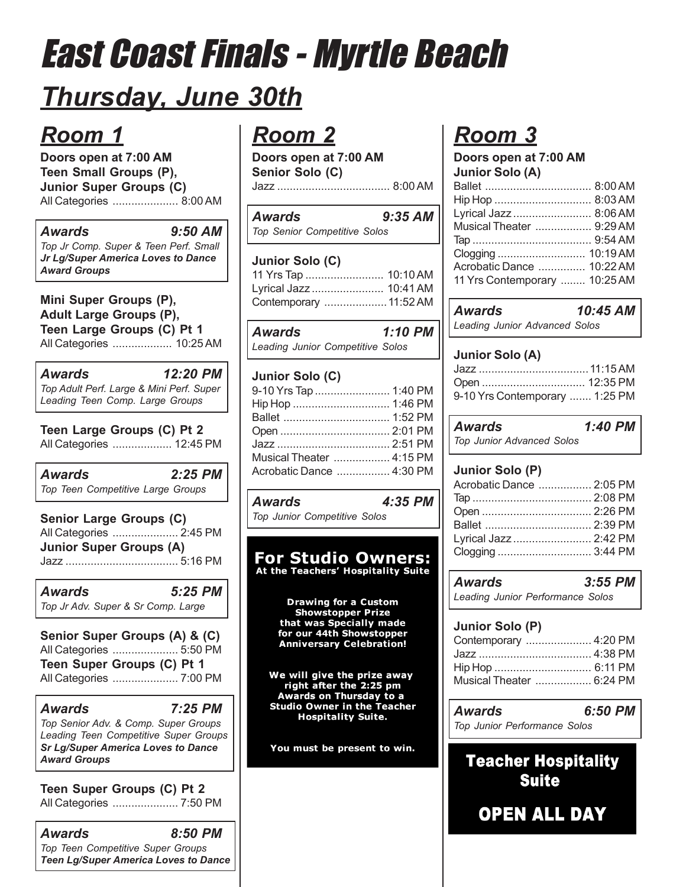## *Thursday, June 30th*

## *Room 1*

**Doors open at 7:00 AM Teen Small Groups (P), Junior Super Groups (C)** All Categories ..................... 8:00 AM

### *Awards 9:50 AM*

*Top Jr Comp. Super & Teen Perf. Small Jr Lg/Super America Loves to Dance Award Groups*

### **Mini Super Groups (P), Adult Large Groups (P), Teen Large Groups (C) Pt 1** All Categories ................... 10:25 AM

*Awards 12:20 PM Top Adult Perf. Large & Mini Perf. Super Leading Teen Comp. Large Groups*

**Teen Large Groups (C) Pt 2** All Categories ................... 12:45 PM

*Awards 2:25 PM Top Teen Competitive Large Groups*

**Senior Large Groups (C)** All Categories ..................... 2:45 PM **Junior Super Groups (A)** Jazz .................................... 5:16 PM

*Awards 5:25 PM Top Jr Adv. Super & Sr Comp. Large*

**Senior Super Groups (A) & (C)** All Categories ..................... 5:50 PM **Teen Super Groups (C) Pt 1** All Categories ..................... 7:00 PM

*Awards 7:25 PM Top Senior Adv. & Comp. Super Groups Leading Teen Competitive Super Groups Sr Lg/Super America Loves to Dance Award Groups*

**Teen Super Groups (C) Pt 2** All Categories ..................... 7:50 PM

| Awards                               | 8:50 PM |
|--------------------------------------|---------|
| Top Teen Competitive Super Groups    |         |
| Teen Lg/Super America Loves to Dance |         |

## *Room 2*

**Doors open at 7:00 AM Senior Solo (C)** Jazz .................................... 8:00 AM

| <b>Awards</b>                       | $9:35$ AM |
|-------------------------------------|-----------|
| <b>Top Senior Competitive Solos</b> |           |

### **Junior Solo (C)**

| 11 Yrs Tap  10:10 AM   |  |
|------------------------|--|
| Lyrical Jazz  10:41 AM |  |
| Contemporary  11:52 AM |  |

| <b>Awards</b>                    | $1:10$ PM |  |
|----------------------------------|-----------|--|
| Leading Junior Competitive Solos |           |  |

## **Junior Solo (C)**

| 9-10 Yrs Tap  1:40 PM    |  |
|--------------------------|--|
|                          |  |
|                          |  |
|                          |  |
|                          |  |
| Musical Theater  4:15 PM |  |
| Acrobatic Dance  4:30 PM |  |
|                          |  |

| Awards                       | 4:35 PM |
|------------------------------|---------|
| Top Junior Competitive Solos |         |

### **For Studio Owners:** At the Teachers' Hospitality Suite

**Drawing for a Custom Showstopper Prize** that was Specially made for our 44th Showstopper **Anniversary Celebration!** 

We will give the prize away right after the 2:25 pm Awards on Thursday to a **Studio Owner in the Teacher Hospitality Suite.** 

You must be present to win.

## *Room 3*

**Doors open at 7:00 AM Junior Solo (A)**

| Lyrical Jazz  8:06 AM         |  |
|-------------------------------|--|
| Musical Theater  9:29 AM      |  |
|                               |  |
|                               |  |
| Acrobatic Dance  10:22 AM     |  |
| 11 Yrs Contemporary  10:25 AM |  |
|                               |  |

| <b>Awards</b>                 | 10:45 AM |
|-------------------------------|----------|
| Leading Junior Advanced Solos |          |

### **Junior Solo (A)**

| 9-10 Yrs Contemporary  1:25 PM |  |
|--------------------------------|--|

| <b>Awards</b>                    | 1:40 PM |  |
|----------------------------------|---------|--|
| <b>Top Junior Advanced Solos</b> |         |  |

### **Junior Solo (P)**

| Acrobatic Dance  2:05 PM |  |
|--------------------------|--|
|                          |  |
|                          |  |
|                          |  |
| Lyrical Jazz  2:42 PM    |  |
|                          |  |
|                          |  |

*Awards 3:55 PM Leading Junior Performance Solos*

### **Junior Solo (P)**

| Contemporary  4:20 PM    |  |
|--------------------------|--|
|                          |  |
| Hip Hop  6:11 PM         |  |
| Musical Theater  6:24 PM |  |

| Awards                       | 6:50 PM |
|------------------------------|---------|
| Top Junior Performance Solos |         |

## **Teacher Hospitality Suite**

**OPEN ALL DAY**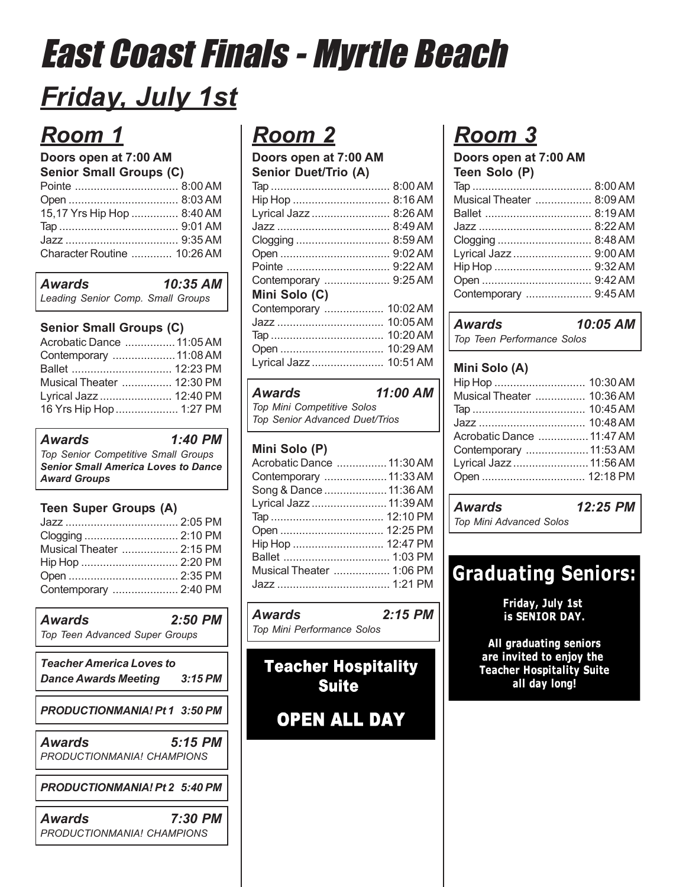## *Friday, July 1st*

## *Room 1*

## **Doors open at 7:00 AM**

| <b>Senior Small Groups (C)</b> |  |  |
|--------------------------------|--|--|
|                                |  |  |
|                                |  |  |
| 15,17 Yrs Hip Hop  8:40 AM     |  |  |
|                                |  |  |
|                                |  |  |
| Character Routine  10:26 AM    |  |  |
|                                |  |  |

| Awards                            | 10:35 AM |
|-----------------------------------|----------|
| Leading Senior Comp. Small Groups |          |

### **Senior Small Groups (C)**

| Acrobatic Dance  11:05 AM |  |
|---------------------------|--|
| Contemporary  11:08 AM    |  |
|                           |  |
| Musical Theater  12:30 PM |  |
| Lyrical Jazz  12:40 PM    |  |
| 16 Yrs Hip Hop  1:27 PM   |  |
|                           |  |

*Awards 1:40 PM Top Senior Competitive Small Groups Senior Small America Loves to Dance Award Groups*

### **Teen Super Groups (A)**

| Musical Theater  2:15 PM |  |
|--------------------------|--|
|                          |  |
|                          |  |
| Contemporary  2:40 PM    |  |

| <b>Awards</b><br><b>Top Teen Advanced Super Groups</b>         | $2:50$ PM |  |
|----------------------------------------------------------------|-----------|--|
| <b>Teacher America Loves to</b><br><b>Dance Awards Meeting</b> | 3:15 PM   |  |
| PRODUCTIONMANIA! Pt 1 3:50 PM                                  |           |  |
| <b>Awards</b><br>PRODUCTIONMANIA! CHAMPIONS                    | 5:15 PM   |  |
| PRODUCTIONMANIA! Pt 2 5:40 PM                                  |           |  |
| Awards<br>PRODUCTIONMANIA! CHAMPIONS                           | 7:30 PM   |  |

## *Room 2*

**Doors open at 7:00 AM Senior Duet/Trio (A)**

| Lyrical Jazz           | $8:26$ AM  |
|------------------------|------------|
|                        | 8:49AM     |
| Clogging               | 8:59AM     |
|                        |            |
|                        |            |
| Contemporary  9:25 AM  |            |
| Mini Solo (C)          |            |
| Contemporary           | 10:02 AM   |
| Jazz                   | $10:05$ AM |
|                        | 10:20 AM   |
| Open                   | 10:29 AM   |
| Lyrical Jazz  10:51 AM |            |
|                        |            |

| Awards                                | 11:00 AM |
|---------------------------------------|----------|
| <b>Top Mini Competitive Solos</b>     |          |
| <b>Top Senior Advanced Duet/Trios</b> |          |

### **Mini Solo (P)**

| Acrobatic Dance  11:30 AM |  |
|---------------------------|--|
| Contemporary  11:33 AM    |  |
| Song & Dance  11:36 AM    |  |
| Lyrical Jazz  11:39 AM    |  |
|                           |  |
|                           |  |
| Hip Hop  12:47 PM         |  |
|                           |  |
| Musical Theater  1:06 PM  |  |
|                           |  |

*Awards 2:15 PM Top Mini Performance Solos*

## **Teacher Hospitality Suite**

**OPEN ALL DAY** 

## *Room 3*

**Doors open at 7:00 AM Teen Solo (P)**

| Musical Theater  8:09 AM |  |
|--------------------------|--|
|                          |  |
|                          |  |
|                          |  |
| Lyrical Jazz  9:00 AM    |  |
|                          |  |
|                          |  |
| Contemporary  9:45 AM    |  |
|                          |  |

## *Awards 10:05 AM*

*Top Teen Performance Solos*

### **Mini Solo (A)**

| Musical Theater  10:36 AM |  |
|---------------------------|--|
|                           |  |
|                           |  |
| Acrobatic Dance  11:47 AM |  |
| Contemporary  11:53 AM    |  |
| Lyrical Jazz  11:56 AM    |  |
|                           |  |
|                           |  |

| Awards                         | 12:25 PM |  |
|--------------------------------|----------|--|
| <b>Top Mini Advanced Solos</b> |          |  |

## **Graduating Seniors:**

Friday, July 1st is SENIOR DAY.

All graduating seniors are invited to enjoy the **Teacher Hospitality Suite** all day long!